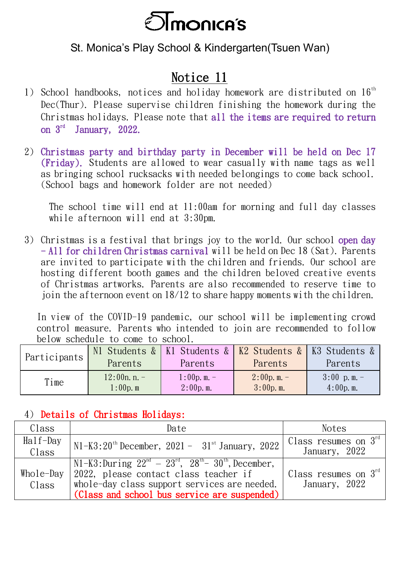

## St. Monica's Play School & Kindergarten(Tsuen Wan)

## Notice 11

- 1) School handbooks, notices and holiday homework are distributed on  $16<sup>th</sup>$ Dec(Thur). Please supervise children finishing the homework during the Christmas holidays. Please note that all the items are required to return on  $3^{\text{rd}}$  January, 2022.
- 2) Christmas party and birthday party in December will be held on Dec 17 (Friday). Students are allowed to wear casually with name tags as well as bringing school rucksacks with needed belongings to come back school. (School bags and homework folder are not needed)

The school time will end at 11:00am for morning and full day classes while afternoon will end at 3:30pm.

3) Christmas is a festival that brings joy to the world. Our school open day - All for children Christmas carnival will be held on Dec 18 (Sat). Parents are invited to participate with the children and friends. Our school are hosting different booth games and the children beloved creative events of Christmas artworks. Parents are also recommended to reserve time to join the afternoon event on 18/12 to share happy moments with the children.

In view of the COVID-19 pandemic, our school will be implementing crowd control measure. Parents who intended to join are recommended to follow below schedule to come to school.

| Participants |                               | N1 Students &   K1 Students &   K2 Students &   K3 Students & |                      |                               |
|--------------|-------------------------------|---------------------------------------------------------------|----------------------|-------------------------------|
|              | Parents                       | Parents                                                       | Parents              | Parents                       |
| Time         | $12:00n. n. -$<br>$1:00p$ . m | $1:00p.$ m. $-$<br>$2:00p$ . m.                               | 2:00p.m.<br>3:00p.m. | $3:00$ p.m. -<br>$4:00p$ . m. |

## 4) Details of Christmas Holidays:

| Class                      | Date                                                                   | <b>Notes</b>                     |
|----------------------------|------------------------------------------------------------------------|----------------------------------|
| $\text{Hal } f\text{-Day}$ | $N1-K3:20^{th}$ December, 2021 - $31^{st}$ January, 2022               | Class resumes on $3^{\text{rd}}$ |
| Class                      |                                                                        | January, 2022                    |
|                            | $N1-K3$ : During $22^{nd} - 23^{rd}$ , $28^{th} - 30^{th}$ , December, |                                  |
| $Whole$ -Day               | 2022, please contact class teacher if                                  | Class resumes on $3rd$           |
| Class                      | whole-day class support services are needed.                           | January, 2022                    |
|                            | (Class and school bus service are suspended)                           |                                  |